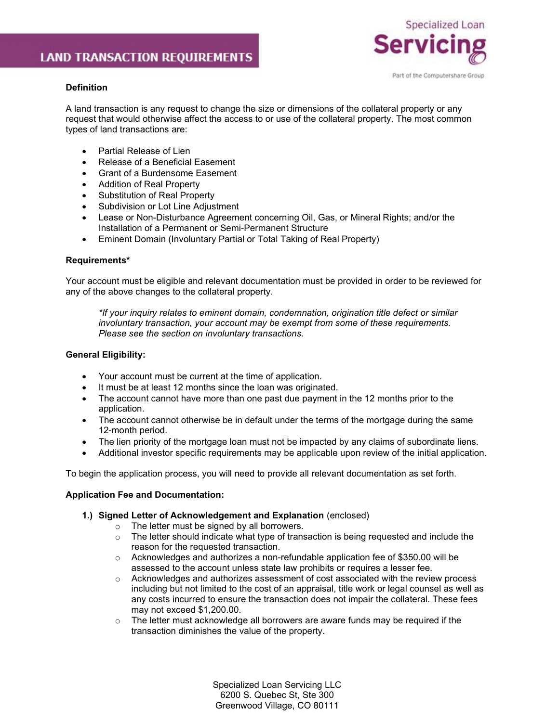

### **Definition**

A land transaction is any request to change the size or dimensions of the collateral property or any request that would otherwise affect the access to or use of the collateral property. The most common types of land transactions are:

- Partial Release of Lien
- Release of a Beneficial Easement
- Grant of a Burdensome Easement
- Addition of Real Property
- Substitution of Real Property
- Subdivision or Lot Line Adjustment
- Lease or Non-Disturbance Agreement concerning Oil, Gas, or Mineral Rights; and/or the Installation of a Permanent or Semi-Permanent Structure
- Eminent Domain (Involuntary Partial or Total Taking of Real Property)

### Requirements\*

Your account must be eligible and relevant documentation must be provided in order to be reviewed for any of the above changes to the collateral property.

\*If your inquiry relates to eminent domain, condemnation, origination title defect or similar involuntary transaction, your account may be exempt from some of these requirements. Please see the section on involuntary transactions.

### General Eligibility:

- Your account must be current at the time of application.
- It must be at least 12 months since the loan was originated.
- The account cannot have more than one past due payment in the 12 months prior to the application.
- The account cannot otherwise be in default under the terms of the mortgage during the same 12-month period.
- The lien priority of the mortgage loan must not be impacted by any claims of subordinate liens.
- Additional investor specific requirements may be applicable upon review of the initial application.

To begin the application process, you will need to provide all relevant documentation as set forth.

### Application Fee and Documentation:

### 1.) Signed Letter of Acknowledgement and Explanation (enclosed)

- o The letter must be signed by all borrowers.
- $\circ$  The letter should indicate what type of transaction is being requested and include the reason for the requested transaction.
- $\circ$  Acknowledges and authorizes a non-refundable application fee of \$350.00 will be assessed to the account unless state law prohibits or requires a lesser fee.
- $\circ$  Acknowledges and authorizes assessment of cost associated with the review process including but not limited to the cost of an appraisal, title work or legal counsel as well as any costs incurred to ensure the transaction does not impair the collateral. These fees may not exceed \$1,200.00.
- $\circ$  The letter must acknowledge all borrowers are aware funds may be required if the transaction diminishes the value of the property.

Specialized Loan Servicing LLC 6200 S. Quebec St, Ste 300 Greenwood Village, CO 80111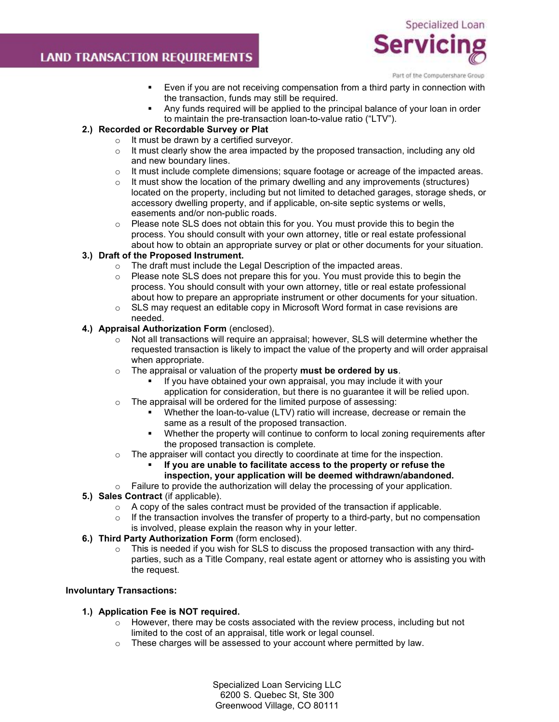# **LAND TRANSACTION REQUIREMENTS**



Part of the Computershare Group

- Even if you are not receiving compensation from a third party in connection with the transaction, funds may still be required.
- Any funds required will be applied to the principal balance of your loan in order to maintain the pre-transaction loan-to-value ratio ("LTV").

# 2.) Recorded or Recordable Survey or Plat

- o It must be drawn by a certified surveyor.
- o It must clearly show the area impacted by the proposed transaction, including any old and new boundary lines.
- $\circ$  It must include complete dimensions; square footage or acreage of the impacted areas.
- $\circ$  It must show the location of the primary dwelling and any improvements (structures) located on the property, including but not limited to detached garages, storage sheds, or accessory dwelling property, and if applicable, on-site septic systems or wells, easements and/or non-public roads.
- $\circ$  Please note SLS does not obtain this for you. You must provide this to begin the process. You should consult with your own attorney, title or real estate professional about how to obtain an appropriate survey or plat or other documents for your situation.

# 3.) Draft of the Proposed Instrument.

- o The draft must include the Legal Description of the impacted areas.
- $\circ$  Please note SLS does not prepare this for you. You must provide this to begin the process. You should consult with your own attorney, title or real estate professional about how to prepare an appropriate instrument or other documents for your situation.
- $\circ$  SLS may request an editable copy in Microsoft Word format in case revisions are needed.

# 4.) Appraisal Authorization Form (enclosed).

- $\circ$  Not all transactions will require an appraisal; however, SLS will determine whether the requested transaction is likely to impact the value of the property and will order appraisal when appropriate.
- $\circ$  The appraisal or valuation of the property must be ordered by us.
	- If you have obtained your own appraisal, you may include it with your application for consideration, but there is no guarantee it will be relied upon.
- o The appraisal will be ordered for the limited purpose of assessing:
	- Whether the loan-to-value (LTV) ratio will increase, decrease or remain the same as a result of the proposed transaction.
	- Whether the property will continue to conform to local zoning requirements after the proposed transaction is complete.
- $\circ$  The appraiser will contact you directly to coordinate at time for the inspection.
	- If you are unable to facilitate access to the property or refuse the
	- inspection, your application will be deemed withdrawn/abandoned.
- o Failure to provide the authorization will delay the processing of your application.
- 5.) Sales Contract (if applicable).
	- $\circ$  A copy of the sales contract must be provided of the transaction if applicable.
	- $\circ$  If the transaction involves the transfer of property to a third-party, but no compensation is involved, please explain the reason why in your letter.

### 6.) Third Party Authorization Form (form enclosed).

 $\circ$  This is needed if you wish for SLS to discuss the proposed transaction with any thirdparties, such as a Title Company, real estate agent or attorney who is assisting you with the request.

### Involuntary Transactions:

### 1.) Application Fee is NOT required.

- $\circ$  However, there may be costs associated with the review process, including but not limited to the cost of an appraisal, title work or legal counsel.
- $\circ$  These charges will be assessed to your account where permitted by law.

Specialized Loan Servicing LLC 6200 S. Quebec St, Ste 300 Greenwood Village, CO 80111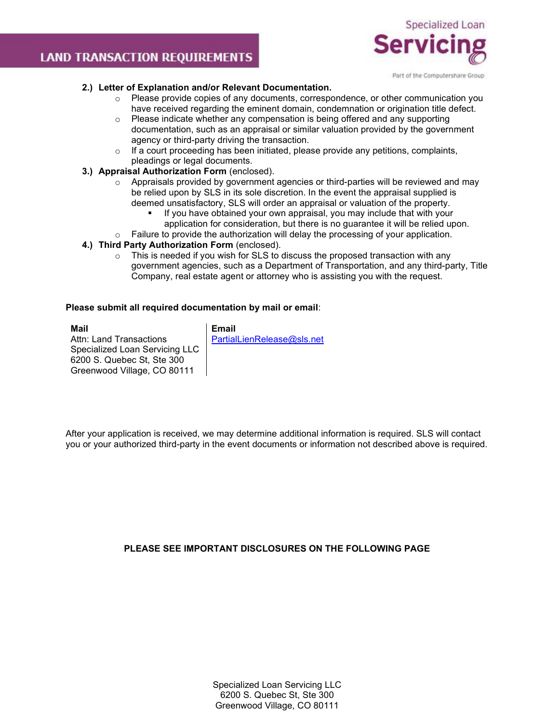# **LAND TRANSACTION REQUIREMENTS**



Part of the Computershare Group

#### $\overline{a}$ 2.) Letter of Explanation and/or Relevant Documentation.

- $\circ$  Please provide copies of any documents, correspondence, or other communication you have received regarding the eminent domain, condemnation or origination title defect.
- $\circ$  Please indicate whether any compensation is being offered and any supporting documentation, such as an appraisal or similar valuation provided by the government agency or third-party driving the transaction.
- $\circ$  If a court proceeding has been initiated, please provide any petitions, complaints, pleadings or legal documents.
- 3.) Appraisal Authorization Form (enclosed).
	- $\circ$  Appraisals provided by government agencies or third-parties will be reviewed and may be relied upon by SLS in its sole discretion. In the event the appraisal supplied is deemed unsatisfactory, SLS will order an appraisal or valuation of the property.
		- If you have obtained your own appraisal, you may include that with your application for consideration, but there is no guarantee it will be relied upon.
	- o Failure to provide the authorization will delay the processing of your application.

# 4.) Third Party Authorization Form (enclosed).

 $\circ$  This is needed if you wish for SLS to discuss the proposed transaction with any government agencies, such as a Department of Transportation, and any third-party, Title Company, real estate agent or attorney who is assisting you with the request.

### Please submit all required documentation by mail or email:

Mail Email Attn: Land Transactions Specialized Loan Servicing LLC 6200 S. Quebec St, Ste 300 Greenwood Village, CO 80111

PartialLienRelease@sls.net

After your application is received, we may determine additional information is required. SLS will contact you or your authorized third-party in the event documents or information not described above is required.

### PLEASE SEE IMPORTANT DISCLOSURES ON THE FOLLOWING PAGE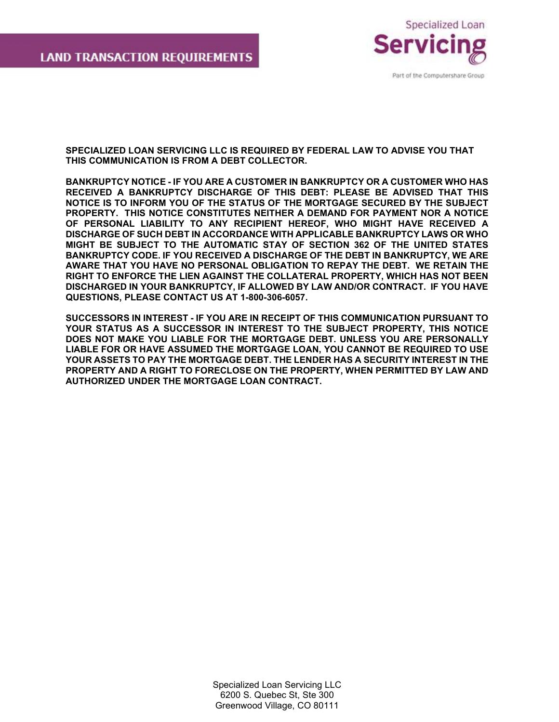

SPECIALIZED LOAN SERVICING LLC IS REQUIRED BY FEDERAL LAW TO ADVISE YOU THAT THIS COMMUNICATION IS FROM A DEBT COLLECTOR.

BANKRUPTCY NOTICE - IF YOU ARE A CUSTOMER IN BANKRUPTCY OR A CUSTOMER WHO HAS RECEIVED A BANKRUPTCY DISCHARGE OF THIS DEBT: PLEASE BE ADVISED THAT THIS NOTICE IS TO INFORM YOU OF THE STATUS OF THE MORTGAGE SECURED BY THE SUBJECT PROPERTY. THIS NOTICE CONSTITUTES NEITHER A DEMAND FOR PAYMENT NOR A NOTICE OF PERSONAL LIABILITY TO ANY RECIPIENT HEREOF, WHO MIGHT HAVE RECEIVED A DISCHARGE OF SUCH DEBT IN ACCORDANCE WITH APPLICABLE BANKRUPTCY LAWS OR WHO MIGHT BE SUBJECT TO THE AUTOMATIC STAY OF SECTION 362 OF THE UNITED STATES BANKRUPTCY CODE. IF YOU RECEIVED A DISCHARGE OF THE DEBT IN BANKRUPTCY, WE ARE AWARE THAT YOU HAVE NO PERSONAL OBLIGATION TO REPAY THE DEBT. WE RETAIN THE RIGHT TO ENFORCE THE LIEN AGAINST THE COLLATERAL PROPERTY, WHICH HAS NOT BEEN DISCHARGED IN YOUR BANKRUPTCY, IF ALLOWED BY LAW AND/OR CONTRACT. IF YOU HAVE QUESTIONS, PLEASE CONTACT US AT 1-800-306-6057.

SUCCESSORS IN INTEREST - IF YOU ARE IN RECEIPT OF THIS COMMUNICATION PURSUANT TO YOUR STATUS AS A SUCCESSOR IN INTEREST TO THE SUBJECT PROPERTY, THIS NOTICE DOES NOT MAKE YOU LIABLE FOR THE MORTGAGE DEBT. UNLESS YOU ARE PERSONALLY LIABLE FOR OR HAVE ASSUMED THE MORTGAGE LOAN, YOU CANNOT BE REQUIRED TO USE YOUR ASSETS TO PAY THE MORTGAGE DEBT. THE LENDER HAS A SECURITY INTEREST IN THE PROPERTY AND A RIGHT TO FORECLOSE ON THE PROPERTY, WHEN PERMITTED BY LAW AND AUTHORIZED UNDER THE MORTGAGE LOAN CONTRACT.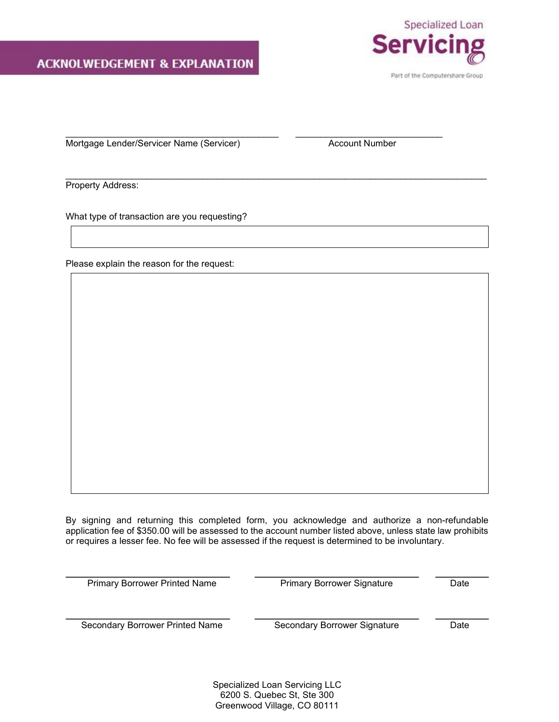![](_page_4_Picture_1.jpeg)

Mortgage Lender/Servicer Name (Servicer) Account Number

Property Address:

What type of transaction are you requesting?

Please explain the reason for the request:

By signing and returning this completed form, you acknowledge and authorize a non-refundable application fee of \$350.00 will be assessed to the account number listed above, unless state law prohibits or requires a lesser fee. No fee will be assessed if the request is determined to be involuntary.

\_\_\_\_\_\_\_\_\_\_\_\_\_\_\_\_\_\_\_\_\_\_\_\_\_\_\_\_\_\_\_\_\_\_\_\_\_\_\_\_\_\_\_\_\_\_\_\_\_\_\_\_\_\_\_\_\_\_\_\_\_\_\_\_\_\_\_\_\_\_\_\_\_\_\_\_\_\_\_\_\_\_\_

Primary Borrower Printed Name **Primary Borrower Signature** Primary Borrower Signature

 $\overline{a}$ 

Secondary Borrower Printed Name Secondary Borrower Signature Date

Specialized Loan Servicing LLC 6200 S. Quebec St, Ste 300 Greenwood Village, CO 80111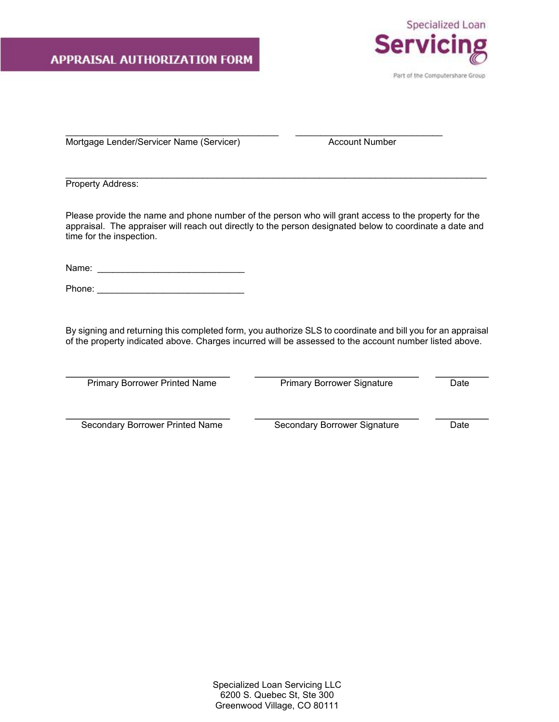# **APPRAISAL AUTHORIZATION FORM**

![](_page_5_Picture_1.jpeg)

\_\_\_\_\_\_\_\_\_\_\_\_\_\_\_\_\_\_\_\_\_\_\_\_\_\_\_\_\_\_\_\_\_\_\_\_\_\_\_\_\_\_ \_\_\_\_\_\_\_\_\_\_\_\_\_\_\_\_\_\_\_\_\_\_\_\_\_\_\_\_\_ Mortgage Lender/Servicer Name (Servicer) Mortgage Account Number

Property Address:

 $\overline{a}$ 

Please provide the name and phone number of the person who will grant access to the property for the appraisal. The appraiser will reach out directly to the person designated below to coordinate a date and time for the inspection.

 $\mathcal{L}_\mathcal{L} = \mathcal{L}_\mathcal{L} = \mathcal{L}_\mathcal{L} = \mathcal{L}_\mathcal{L} = \mathcal{L}_\mathcal{L} = \mathcal{L}_\mathcal{L} = \mathcal{L}_\mathcal{L} = \mathcal{L}_\mathcal{L} = \mathcal{L}_\mathcal{L} = \mathcal{L}_\mathcal{L} = \mathcal{L}_\mathcal{L} = \mathcal{L}_\mathcal{L} = \mathcal{L}_\mathcal{L} = \mathcal{L}_\mathcal{L} = \mathcal{L}_\mathcal{L} = \mathcal{L}_\mathcal{L} = \mathcal{L}_\mathcal{L}$ 

Name: \_\_\_\_\_\_\_\_\_\_\_\_\_\_\_\_\_\_\_\_\_\_\_\_\_\_\_\_\_

Phone: \_\_\_\_\_\_\_\_\_\_\_\_\_\_\_\_\_\_\_\_\_\_\_\_\_\_\_\_\_

By signing and returning this completed form, you authorize SLS to coordinate and bill you for an appraisal of the property indicated above. Charges incurred will be assessed to the account number listed above.

| <b>Primary Borrower Printed Name</b> | <b>Primary Borrower Signature</b> | Date |
|--------------------------------------|-----------------------------------|------|
| Secondary Borrower Printed Name      | Secondary Borrower Signature      | Date |